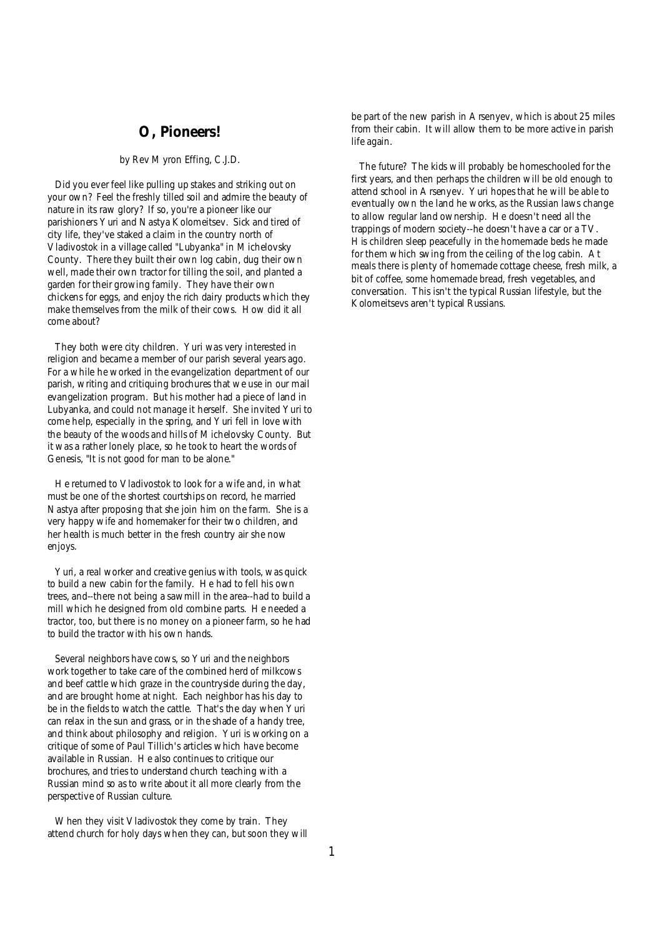### **O, Pioneers!**

#### *by Rev Myron Effing, C.J.D.*

Did you ever feel like pulling up stakes and striking out on your own? Feel the freshly tilled soil and admire the beauty of nature in its raw glory? If so, you're a pioneer like our parishioners Yuri and Nastya Kolomeitsev. Sick and tired of city life, they've staked a claim in the country north of Vladivostok in a village called "Lubyanka" in Michelovsky County. There they built their own log cabin, dug their own well, made their own tractor for tilling the soil, and planted a garden for their growing family. They have their own chickens for eggs, and enjoy the rich dairy products which they make themselves from the milk of their cows. How did it all come about?

They both were city children. Yuri was very interested in religion and became a member of our parish several years ago. For a while he worked in the evangelization department of our parish, writing and critiquing brochures that we use in our mail evangelization program. But his mother had a piece of land in Lubyanka, and could not manage it herself. She invited Yuri to come help, especially in the spring, and Yuri fell in love with the beauty of the woods and hills of Michelovsky County. But it was a rather lonely place, so he took to heart the words of Genesis, "It is not good for man to be alone."

He returned to Vladivostok to look for a wife and, in what must be one of the shortest courtships on record, he married Nastya after proposing that she join him on the farm. She is a very happy wife and homemaker for their two children, and her health is much better in the fresh country air she now enjoys.

Yuri, a real worker and creative genius with tools, was quick to build a new cabin for the family. He had to fell his own trees, and--there not being a sawmill in the area--had to build a mill which he designed from old combine parts. He needed a tractor, too, but there is no money on a pioneer farm, so he had to build the tractor with his own hands.

Several neighbors have cows, so Yuri and the neighbors work together to take care of the combined herd of milkcows and beef cattle which graze in the countryside during the day, and are brought home at night. Each neighbor has his day to be in the fields to watch the cattle. That's the day when Yuri can relax in the sun and grass, or in the shade of a handy tree, and think about philosophy and religion. Yuri is working on a critique of some of Paul Tillich's articles which have become available in Russian. He also continues to critique our brochures, and tries to understand church teaching with a Russian mind so as to write about it all more clearly from the perspective of Russian culture.

When they visit Vladivostok they come by train. They attend church for holy days when they can, but soon they will be part of the new parish in Arsenyev, which is about 25 miles from their cabin. It will allow them to be more active in parish life again.

 The future? The kids will probably be homeschooled for the first years, and then perhaps the children will be old enough to attend school in Arsenyev. Yuri hopes that he will be able to eventually own the land he works, as the Russian laws change to allow regular land ownership. He doesn't need all the trappings of modern society--he doesn't have a car or a TV. His children sleep peacefully in the homemade beds he made for them which swing from the ceiling of the log cabin. At meals there is plenty of homemade cottage cheese, fresh milk, a bit of coffee, some homemade bread, fresh vegetables, and conversation. This isn't the typical Russian lifestyle, but the Kolomeitsevs aren't typical Russians.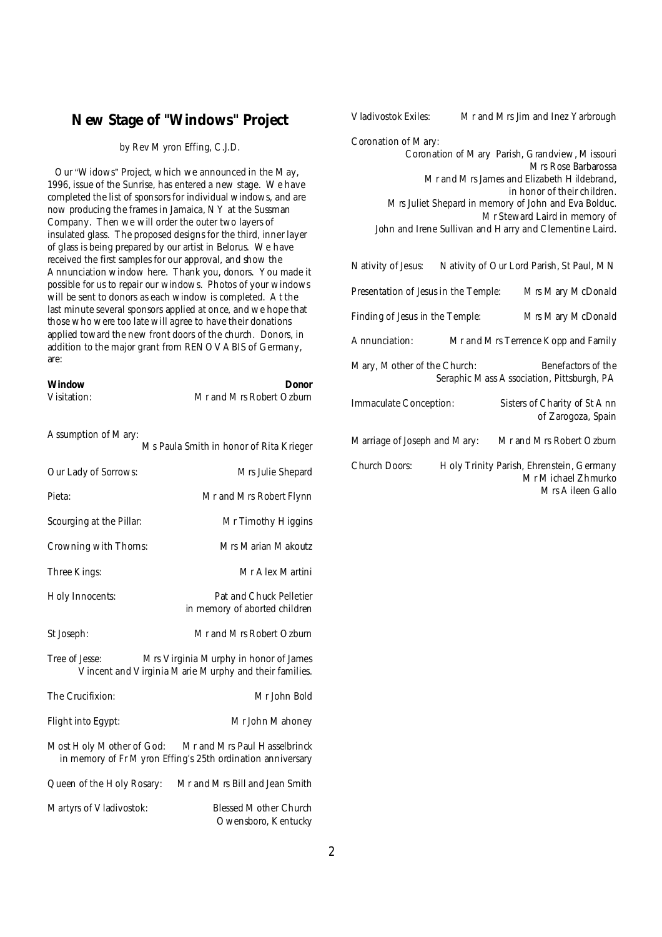# **New Stage of "Windows" Project**

#### *by Rev Myron Effing, C.J.D.*

Our "Widows" Project, which we announced in the May, 1996, issue of the *Sunrise*, has entered a new stage. We have completed the list of sponsors for individual windows, and are now producing the frames in Jamaica, NY at the Sussman Company. Then we will order the outer two layers of insulated glass. The proposed designs for the third, inner layer of glass is being prepared by our artist in Belorus. We have received the first samples for our approval, and show the Annunciation window here. Thank you, donors. You made it possible for us to repair our windows. Photos of your windows will be sent to donors as each window is completed. At the last minute several sponsors applied at once, and we hope that those who were too late will agree to have their donations applied toward the new front doors of the church. Donors, in addition to the major grant from RENOVABIS of Germany, are:

| Window<br>Visitation:                                                                                            | Donor<br>Mr and Mrs Robert Ozburn                                                          |
|------------------------------------------------------------------------------------------------------------------|--------------------------------------------------------------------------------------------|
| Assumption of Mary:                                                                                              | Ms Paula Smith in honor of Rita Krieger                                                    |
| Our Lady of Sorrows:                                                                                             | Mrs Julie Shepard                                                                          |
| Pieta:                                                                                                           | Mr and Mrs Robert Flynn                                                                    |
| Scourging at the Pillar:                                                                                         | Mr Timothy Higgins                                                                         |
| Crowning with Thorns:                                                                                            | Mrs Marian Makoutz                                                                         |
| Three Kings:                                                                                                     | Mr Alex Martini                                                                            |
| Holy Innocents:                                                                                                  | Pat and Chuck Pelletier<br>in memory of aborted children                                   |
| St Joseph:                                                                                                       | Mr and Mrs Robert Ozburn                                                                   |
| Tree of Jesse:<br>Mrs Virginia Murphy in honor of James<br>Vincent and Virginia Marie Murphy and their families. |                                                                                            |
| The Crucifixion:                                                                                                 | Mr John Bold                                                                               |
| Flight into Egypt:                                                                                               | Mr John Mahoney                                                                            |
| Most Holy Mother of God:                                                                                         | Mr and Mrs Paul Hasselbrinck<br>in memory of Fr Myron Effing's 25th ordination anniversary |
| Queen of the Holy Rosary:                                                                                        | Mr and Mrs Bill and Jean Smith                                                             |
| Martyrs of Vladivostok:                                                                                          | <b>Blessed Mother Church</b><br>Owensboro, Kentucky                                        |

| Vladivostok Exiles:                                                                                                                                                                                                                                                                                                           | Mr and Mrs Jim and Inez Yarbrough                                                  |
|-------------------------------------------------------------------------------------------------------------------------------------------------------------------------------------------------------------------------------------------------------------------------------------------------------------------------------|------------------------------------------------------------------------------------|
| Coronation of Mary:<br>Coronation of Mary Parish, Grandview, Missouri<br>Mrs Rose Barbarossa<br>Mr and Mrs James and Elizabeth Hildebrand,<br>in honor of their children.<br>Mrs Juliet Shepard in memory of John and Eva Bolduc.<br>Mr Steward Laird in memory of<br>John and Irene Sullivan and Harry and Clementine Laird. |                                                                                    |
| Nativity of Jesus:                                                                                                                                                                                                                                                                                                            | Nativity of Our Lord Parish, St Paul, MN                                           |
| Presentation of Jesus in the Temple:                                                                                                                                                                                                                                                                                          | Mrs Mary McDonald                                                                  |
| Finding of Jesus in the Temple:                                                                                                                                                                                                                                                                                               | Mrs Mary McDonald                                                                  |
| Annunciation:                                                                                                                                                                                                                                                                                                                 | Mr and Mrs Terrence Kopp and Family                                                |
| Mary, Mother of the Church:<br>Benefactors of the<br>Seraphic Mass Association, Pittsburgh, PA                                                                                                                                                                                                                                |                                                                                    |
| Immaculate Conception:                                                                                                                                                                                                                                                                                                        | Sisters of Charity of St Ann<br>of Zarogoza, Spain                                 |
| Marriage of Joseph and Mary:                                                                                                                                                                                                                                                                                                  | Mr and Mrs Robert Ozburn                                                           |
| Church Doors:                                                                                                                                                                                                                                                                                                                 | Holy Trinity Parish, Ehrenstein, Germany<br>Mr Michael Zhmurko<br>Mrs Aileen Gallo |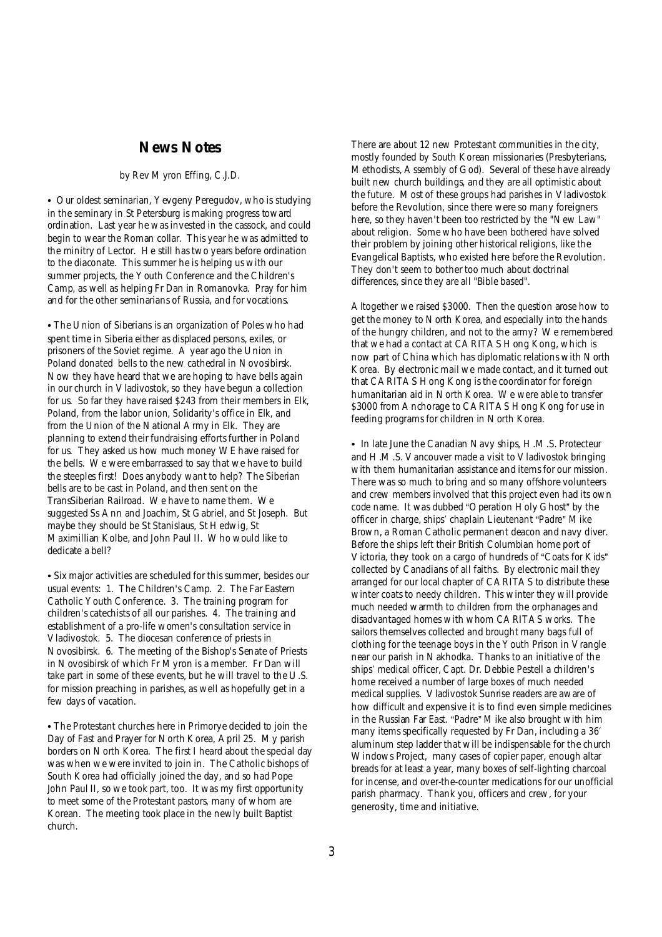### **News Notes**

#### *by Rev Myron Effing, C.J.D.*

• Our oldest seminarian, Yevgeny Peregudov, who is studying in the seminary in St Petersburg is making progress toward ordination. Last year he was invested in the cassock, and could begin to wear the Roman collar. This year he was admitted to the minitry of Lector. He still has two years before ordination to the diaconate. This summer he is helping us with our summer projects, the Youth Conference and the Children's Camp, as well as helping Fr Dan in Romanovka. Pray for him and for the other seminarians of Russia, and for vocations.

• The Union of Siberians is an organization of Poles who had spent time in Siberia either as displaced persons, exiles, or prisoners of the Soviet regime. A year ago the Union in Poland donated bells to the new cathedral in Novosibirsk. Now they have heard that we are hoping to have bells again in our church in Vladivostok, so they have begun a collection for us. So far they have raised \$243 from their members in Elk, Poland, from the labor union, Solidarity's office in Elk, and from the Union of the National Army in Elk. They are planning to extend their fundraising efforts further in Poland for us. They asked us how much money WE have raised for the bells. We were embarrassed to say that we have to build the steeples first! Does anybody want to help? The Siberian bells are to be cast in Poland, and then sent on the TransSiberian Railroad. We have to name them. We suggested Ss Ann and Joachim, St Gabriel, and St Joseph. But maybe they should be St Stanislaus, St Hedwig, St Maximillian Kolbe, and John Paul II. Who would like to dedicate a bell?

• Six major activities are scheduled for this summer, besides our usual events: 1. The Children's Camp. 2. The Far Eastern Catholic Youth Conference. 3. The training program for children's catechists of all our parishes. 4. The training and establishment of a pro-life women's consultation service in Vladivostok. 5. The diocesan conference of priests in Novosibirsk. 6. The meeting of the Bishop's Senate of Priests in Novosibirsk of which Fr Myron is a member. Fr Dan will take part in some of these events, but he will travel to the U.S. for mission preaching in parishes, as well as hopefully get in a few days of vacation.

• The Protestant churches here in Primorye decided to join the Day of Fast and Prayer for North Korea, April 25. My parish borders on North Korea. The first I heard about the special day was when we were invited to join in. The Catholic bishops of South Korea had officially joined the day, and so had Pope John Paul II, so we took part, too. It was my first opportunity to meet some of the Protestant pastors, many of whom are Korean. The meeting took place in the newly built Baptist church.

There are about 12 new Protestant communities in the city, mostly founded by South Korean missionaries (Presbyterians, Methodists, Assembly of God). Several of these have already built new church buildings, and they are all optimistic about the future. Most of these groups had parishes in Vladivostok before the Revolution, since there were so many foreigners here, so they haven't been too restricted by the "New Law" about religion. Some who have been bothered have solved their problem by joining other historical religions, like the Evangelical Baptists, who existed here before the Revolution. They don't seem to bother too much about doctrinal differences, since they are all "Bible based".

Altogether we raised \$3000. Then the question arose how to get the money to North Korea, and especially into the hands of the hungry children, and not to the army? We remembered that we had a contact at CARITAS Hong Kong, which is now part of China which has diplomatic relations with North Korea. By electronic mail we made contact, and it turned out that CARITAS Hong Kong is the coordinator for foreign humanitarian aid in North Korea. We were able to transfer \$3000 from Anchorage to CARITAS Hong Kong for use in feeding programs for children in North Korea.

• In late June the Canadian Navy ships, H.M.S. Protecteur and H.M.S. Vancouver made a visit to Vladivostok bringing with them humanitarian assistance and items for our mission. There was so much to bring and so many offshore volunteers and crew members involved that this project even had its own code name. It was dubbed "Operation Holy Ghost" by the officer in charge, ships' chaplain Lieutenant "Padre" Mike Brown, a Roman Catholic permanent deacon and navy diver. Before the ships left their British Columbian home port of Victoria, they took on a cargo of hundreds of "Coats for Kids" collected by Canadians of all faiths. By electronic mail they arranged for our local chapter of CARITAS to distribute these winter coats to needy children. This winter they will provide much needed warmth to children from the orphanages and disadvantaged homes with whom CARITAS works. The sailors themselves collected and brought many bags full of clothing for the teenage boys in the Youth Prison in Vrangle near our parish in Nakhodka. Thanks to an initiative of the ships' medical officer, Capt. Dr. Debbie Pestell a children's home received a number of large boxes of much needed medical supplies. *Vladivostok Sunrise* readers are aware of how difficult and expensive it is to find even simple medicines in the Russian Far East. "Padre" Mike also brought with him many items specifically requested by Fr Dan, including a 36' aluminum step ladder that will be indispensable for the church *Windows* Project, many cases of copier paper, enough altar breads for at least a year, many boxes of self-lighting charcoal for incense, and over-the-counter medications for our unofficial parish pharmacy. Thank you, officers and crew, for your generosity, time and initiative.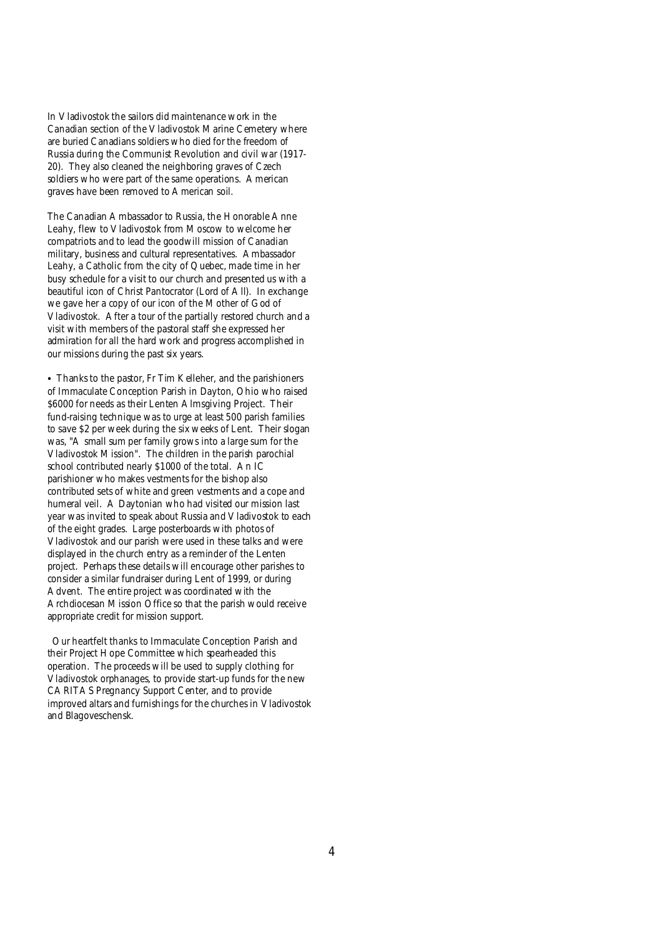In Vladivostok the sailors did maintenance work in the Canadian section of the Vladivostok Marine Cemetery where are buried Canadians soldiers who died for the freedom of Russia during the Communist Revolution and civil war (1917- 20). They also cleaned the neighboring graves of Czech soldiers who were part of the same operations. American graves have been removed to American soil.

The Canadian Ambassador to Russia, the Honorable Anne Leahy, flew to Vladivostok from Moscow to welcome her compatriots and to lead the goodwill mission of Canadian military, business and cultural representatives. Ambassador Leahy, a Catholic from the city of Quebec, made time in her busy schedule for a visit to our church and presented us with a beautiful icon of Christ *Pantocrator* (Lord of All). In exchange we gave her a copy of our icon of the *Mother of God of Vladivostok*. After a tour of the partially restored church and a visit with members of the pastoral staff she expressed her admiration for all the hard work and progress accomplished in our missions during the past six years.

• Thanks to the pastor, Fr Tim Kelleher, and the parishioners of Immaculate Conception Parish in Dayton, Ohio who raised \$6000 for needs as their Lenten Almsgiving Project. Their fund-raising technique was to urge at least 500 parish families to save \$2 per week during the six weeks of Lent. Their slogan was, "A small sum per family grows into a large sum for the Vladivostok Mission". The children in the parish parochial school contributed nearly \$1000 of the total. An IC parishioner who makes vestments for the bishop also contributed sets of white and green vestments and a cope and humeral veil. A Daytonian who had visited our mission last year was invited to speak about Russia and Vladivostok to each of the eight grades. Large posterboards with photos of Vladivostok and our parish were used in these talks and were displayed in the church entry as a reminder of the Lenten project. Perhaps these details will encourage other parishes to consider a similar fundraiser during Lent of 1999, or during Advent. The entire project was coordinated with the Archdiocesan Mission Office so that the parish would receive appropriate credit for mission support.

Our heartfelt thanks to Immaculate Conception Parish and their Project Hope Committee which spearheaded this operation. The proceeds will be used to supply clothing for Vladivostok orphanages, to provide start-up funds for the new CARITAS Pregnancy Support Center, and to provide improved altars and furnishings for the churches in Vladivostok and Blagoveschensk.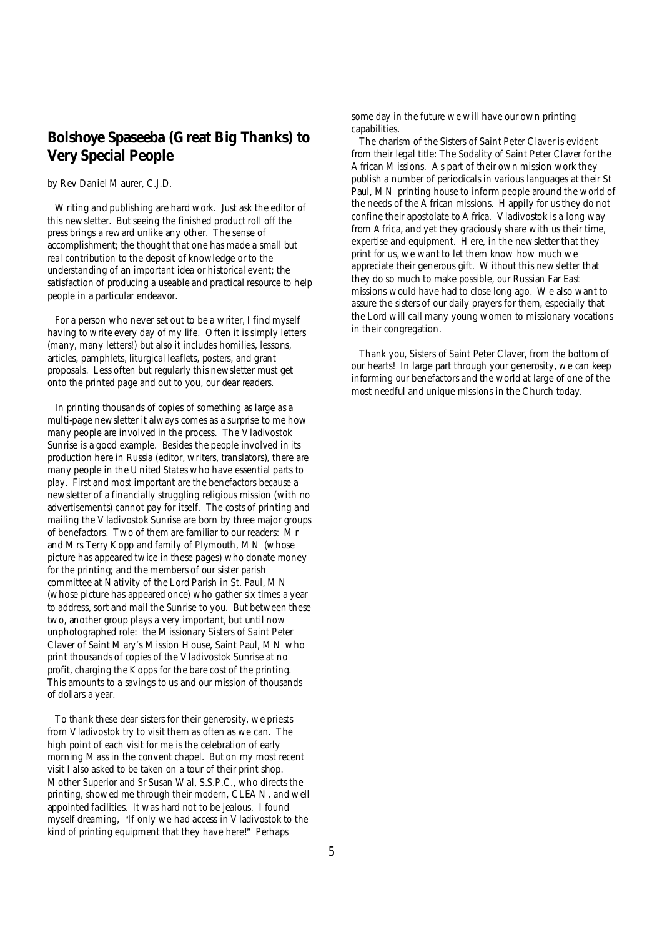# *Bolshoye Spaseeba* **(Great Big Thanks) to Very Special People**

#### *by Rev Daniel Maurer, C.J.D.*

Writing and publishing are hard work. Just ask the editor of this newsletter. But seeing the finished product roll off the press brings a reward unlike any other. The sense of accomplishment; the thought that one has made a small but real contribution to the deposit of knowledge or to the understanding of an important idea or historical event; the satisfaction of producing a useable and practical resource to help people in a particular endeavor.

For a person who never set out to be a writer, I find myself having to write every day of my life. Often it is simply letters (many, many letters!) but also it includes homilies, lessons, articles, pamphlets, liturgical leaflets, posters, and grant proposals. Less often but regularly this newsletter must get onto the printed page and out to you, our dear readers.

In printing thousands of copies of something as large as a multi-page newsletter it always comes as a surprise to me how many people are involved in the process. The *Vladivostok Sunrise* is a good example. Besides the people involved in its production here in Russia (editor, writers, translators), there are many people in the United States who have essential parts to play. First and most important are the benefactors because a newsletter of a financially struggling religious mission (with no advertisements) cannot pay for itself. The costs of printing and mailing the *Vladivostok Sunrise* are born by three major groups of benefactors. Two of them are familiar to our readers: Mr and Mrs Terry Kopp and family of Plymouth, MN (whose picture has appeared twice in these pages) who donate money for the printing; and the members of our sister parish committee at Nativity of the Lord Parish in St. Paul, MN (whose picture has appeared once) who gather six times a year to address, sort and mail the *Sunrise* to you. But between these two, another group plays a very important, but until now unphotographed role: the Missionary Sisters of Saint Peter Claver of Saint Mary's Mission House, Saint Paul, MN who print thousands of copies of the *Vladivostok Sunrise* at no profit, charging the Kopps for the bare cost of the printing. This amounts to a savings to us and our mission of thousands of dollars a year.

To thank these dear sisters for their generosity, we priests from Vladivostok try to visit them as often as we can. The high point of each visit for me is the celebration of early morning Mass in the convent chapel. But on my most recent visit I also asked to be taken on a tour of their print shop. Mother Superior and Sr Susan Wal, S.S.P.C., who directs the printing, showed me through their modern, CLEAN, and well appointed facilities. It was hard not to be jealous. I found myself dreaming, "If only we had access in Vladivostok to the kind of printing equipment that they have here!" Perhaps

some day in the future we will have our own printing capabilities.

 The charism of the Sisters of Saint Peter Claver is evident from their legal title: The Sodality of Saint Peter Claver for the African Missions. As part of their own mission work they publish a number of periodicals in various languages at their St Paul, MN printing house to inform people around the world of the needs of the African missions. Happily for us they do not confine their apostolate to Africa. Vladivostok is a long way from Africa, and yet they graciously share with us their time, expertise and equipment. Here, in the newsletter that they print for us, we want to let them know how much we appreciate their generous gift. Without this newsletter that they do so much to make possible, our Russian Far East missions would have had to close long ago. We also want to assure the sisters of our daily prayers for them, especially that the Lord will call many young women to missionary vocations in their congregation.

 Thank you, Sisters of Saint Peter Claver, from the bottom of our hearts! In large part through your generosity, we can keep informing our benefactors and the world at large of one of the most needful and unique missions in the Church today.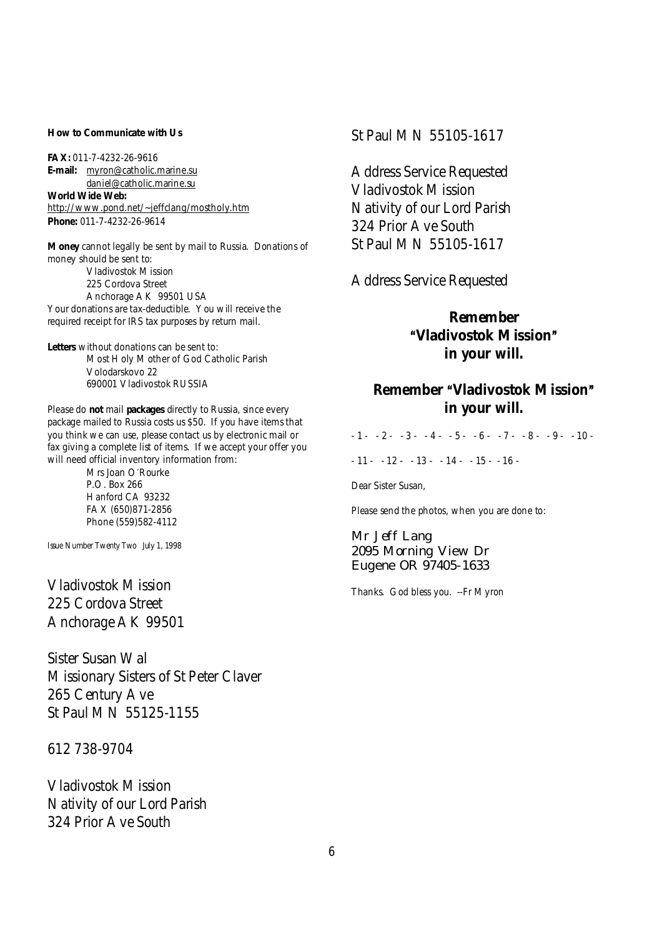**How to Communicate with Us**

**FAX:** 011-7-4232-26-9616 **E-mail:** [myron@catholic.marine.su](mailto:myron@catholic.marine.su) [daniel@catholic.marine.su](mailto:daniel@catholic.marine.su) **World Wide Web:** <http://www.pond.net/~jeffclang/mostholy.htm> **Phone:** 011-7-4232-26-9614

**Money** cannot legally be sent by mail to Russia. Donations of money should be sent to: Vladivostok Mission 225 Cordova Street Anchorage AK 99501 USA Your donations are tax-deductible. You will receive the required receipt for IRS tax purposes by return mail.

**Letters** without donations can be sent to: Most Holy Mother of God Catholic Parish Volodarskovo 22 690001 Vladivostok RUSSIA

Please do **not** mail **packages** directly to Russia, since every package mailed to Russia costs us \$50. If you have items that you think we can use, please contact us by electronic mail or fax giving a complete list of items. If we accept your offer you will need official inventory information from:

> Mrs Joan O'Rourke P.O. Box 266 Hanford CA 93232 FAX (650)871-2856 Phone (559)582-4112

Issue Number Twenty Two July 1, 1998

Vladivostok Mission 225 Cordova Street Anchorage AK 99501

Sister Susan Wal Missionary Sisters of St Peter Claver 265 Century Ave St Paul MN 55125-1155

612 738-9704

Vladivostok Mission Nativity of our Lord Parish 324 Prior Ave South

### St Paul MN 55105-1617

Address Service Requested Vladivostok Mission Nativity of our Lord Parish 324 Prior Ave South St Paul MN 55105-1617

Address Service Requested

**Remember AVladivostok Mission@ in your will.** 

## **Remember "Vladivostok Mission" in your will.**

 $-1 - -2 - -3 - 4 - 5 - 6 - 7 - 8 - 9 - 10 -11 - 12 - 13 - 14 - 15 - 16$ 

Dear Sister Susan,

Please send the photos, when you are done to:

Mr Jeff Lang 2095 Morning View Dr Eugene OR 97405-1633

Thanks. God bless you. --Fr Myron